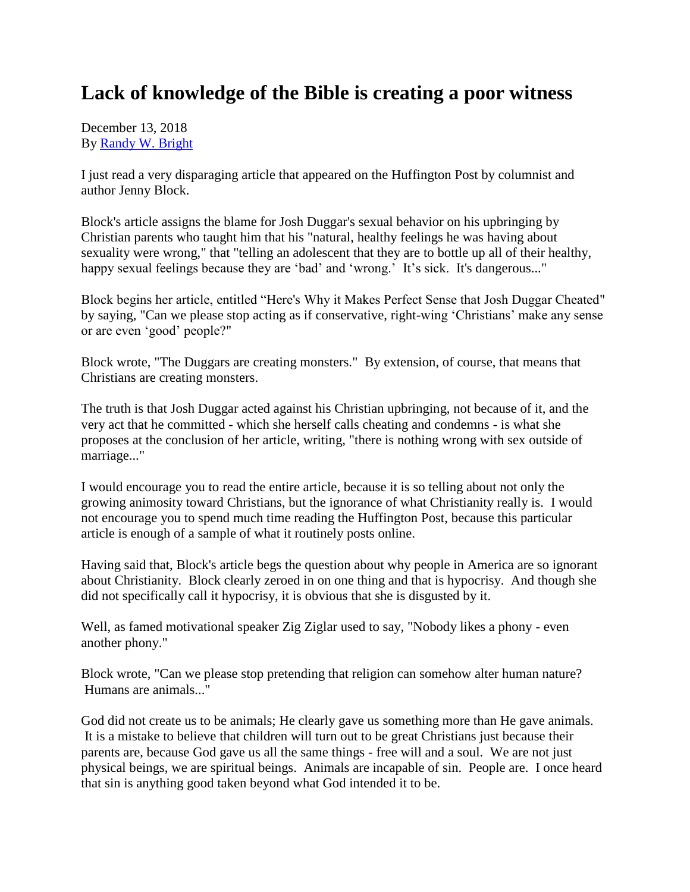## **Lack of knowledge of the Bible is creating a poor witness**

December 13, 2018 By [Randy W. Bright](http://www.tulsabeacon.com/author/slug-o6yd1v)

I just read a very disparaging article that appeared on the Huffington Post by columnist and author Jenny Block.

Block's article assigns the blame for Josh Duggar's sexual behavior on his upbringing by Christian parents who taught him that his "natural, healthy feelings he was having about sexuality were wrong," that "telling an adolescent that they are to bottle up all of their healthy, happy sexual feelings because they are 'bad' and 'wrong.' It's sick. It's dangerous..."

Block begins her article, entitled "Here's Why it Makes Perfect Sense that Josh Duggar Cheated" by saying, "Can we please stop acting as if conservative, right-wing 'Christians' make any sense or are even 'good' people?"

Block wrote, "The Duggars are creating monsters." By extension, of course, that means that Christians are creating monsters.

The truth is that Josh Duggar acted against his Christian upbringing, not because of it, and the very act that he committed - which she herself calls cheating and condemns - is what she proposes at the conclusion of her article, writing, "there is nothing wrong with sex outside of marriage..."

I would encourage you to read the entire article, because it is so telling about not only the growing animosity toward Christians, but the ignorance of what Christianity really is. I would not encourage you to spend much time reading the Huffington Post, because this particular article is enough of a sample of what it routinely posts online.

Having said that, Block's article begs the question about why people in America are so ignorant about Christianity. Block clearly zeroed in on one thing and that is hypocrisy. And though she did not specifically call it hypocrisy, it is obvious that she is disgusted by it.

Well, as famed motivational speaker Zig Ziglar used to say, "Nobody likes a phony - even another phony."

Block wrote, "Can we please stop pretending that religion can somehow alter human nature? Humans are animals..."

God did not create us to be animals; He clearly gave us something more than He gave animals. It is a mistake to believe that children will turn out to be great Christians just because their parents are, because God gave us all the same things - free will and a soul. We are not just physical beings, we are spiritual beings. Animals are incapable of sin. People are. I once heard that sin is anything good taken beyond what God intended it to be.